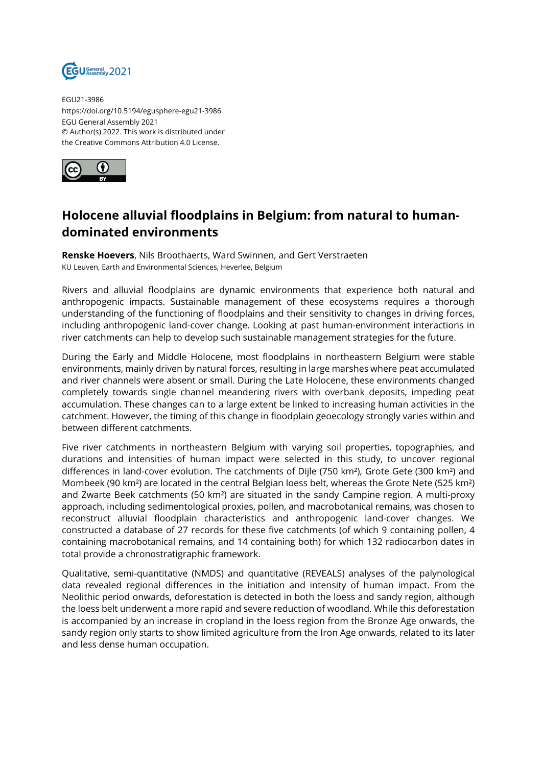

EGU21-3986 https://doi.org/10.5194/egusphere-egu21-3986 EGU General Assembly 2021 © Author(s) 2022. This work is distributed under the Creative Commons Attribution 4.0 License.



## **Holocene alluvial floodplains in Belgium: from natural to humandominated environments**

**Renske Hoevers**, Nils Broothaerts, Ward Swinnen, and Gert Verstraeten KU Leuven, Earth and Environmental Sciences, Heverlee, Belgium

Rivers and alluvial floodplains are dynamic environments that experience both natural and anthropogenic impacts. Sustainable management of these ecosystems requires a thorough understanding of the functioning of floodplains and their sensitivity to changes in driving forces, including anthropogenic land-cover change. Looking at past human-environment interactions in river catchments can help to develop such sustainable management strategies for the future.

During the Early and Middle Holocene, most floodplains in northeastern Belgium were stable environments, mainly driven by natural forces, resulting in large marshes where peat accumulated and river channels were absent or small. During the Late Holocene, these environments changed completely towards single channel meandering rivers with overbank deposits, impeding peat accumulation. These changes can to a large extent be linked to increasing human activities in the catchment. However, the timing of this change in floodplain geoecology strongly varies within and between different catchments.

Five river catchments in northeastern Belgium with varying soil properties, topographies, and durations and intensities of human impact were selected in this study, to uncover regional differences in land-cover evolution. The catchments of Dijle (750 km²), Grote Gete (300 km²) and Mombeek (90 km²) are located in the central Belgian loess belt, whereas the Grote Nete (525 km²) and Zwarte Beek catchments (50 km²) are situated in the sandy Campine region. A multi-proxy approach, including sedimentological proxies, pollen, and macrobotanical remains, was chosen to reconstruct alluvial floodplain characteristics and anthropogenic land-cover changes. We constructed a database of 27 records for these five catchments (of which 9 containing pollen, 4 containing macrobotanical remains, and 14 containing both) for which 132 radiocarbon dates in total provide a chronostratigraphic framework.

Qualitative, semi-quantitative (NMDS) and quantitative (REVEALS) analyses of the palynological data revealed regional differences in the initiation and intensity of human impact. From the Neolithic period onwards, deforestation is detected in both the loess and sandy region, although the loess belt underwent a more rapid and severe reduction of woodland. While this deforestation is accompanied by an increase in cropland in the loess region from the Bronze Age onwards, the sandy region only starts to show limited agriculture from the Iron Age onwards, related to its later and less dense human occupation.